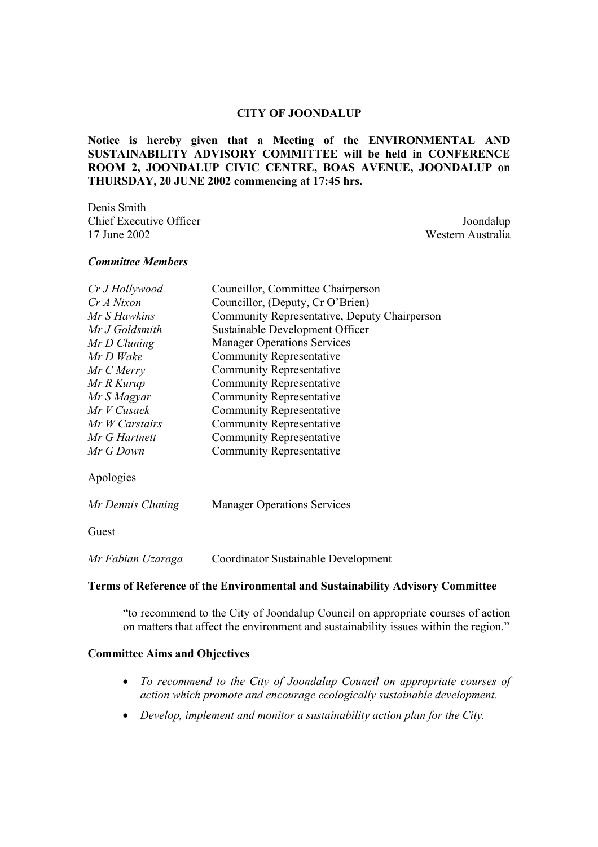## **CITY OF JOONDALUP**

**Notice is hereby given that a Meeting of the ENVIRONMENTAL AND SUSTAINABILITY ADVISORY COMMITTEE will be held in CONFERENCE ROOM 2, JOONDALUP CIVIC CENTRE, BOAS AVENUE, JOONDALUP on THURSDAY, 20 JUNE 2002 commencing at 17:45 hrs.** 

Denis Smith Chief Executive Officer Joondalup 17 June 2002 Western Australia

## *Committee Members*

| Cr J Hollywood | Councillor, Committee Chairperson            |  |  |
|----------------|----------------------------------------------|--|--|
| Cr A Nixon     | Councillor, (Deputy, Cr O'Brien)             |  |  |
| Mr S Hawkins   | Community Representative, Deputy Chairperson |  |  |
| Mr J Goldsmith | Sustainable Development Officer              |  |  |
| Mr D Cluning   | <b>Manager Operations Services</b>           |  |  |
| Mr D Wake      | <b>Community Representative</b>              |  |  |
| Mr C Merry     | <b>Community Representative</b>              |  |  |
| Mr R Kurup     | <b>Community Representative</b>              |  |  |
| Mr S Magyar    | <b>Community Representative</b>              |  |  |
| Mr V Cusack    | <b>Community Representative</b>              |  |  |
| Mr W Carstairs | Community Representative                     |  |  |
| Mr G Hartnett  | <b>Community Representative</b>              |  |  |
| Mr G Down      | Community Representative                     |  |  |
|                |                                              |  |  |

Apologies

| Mr Dennis Cluning | <b>Manager Operations Services</b>  |  |  |
|-------------------|-------------------------------------|--|--|
| Guest             |                                     |  |  |
| Mr Fabian Uzaraga | Coordinator Sustainable Development |  |  |

### **Terms of Reference of the Environmental and Sustainability Advisory Committee**

"to recommend to the City of Joondalup Council on appropriate courses of action on matters that affect the environment and sustainability issues within the region."

## **Committee Aims and Objectives**

- *To recommend to the City of Joondalup Council on appropriate courses of action which promote and encourage ecologically sustainable development.*
- *Develop, implement and monitor a sustainability action plan for the City.*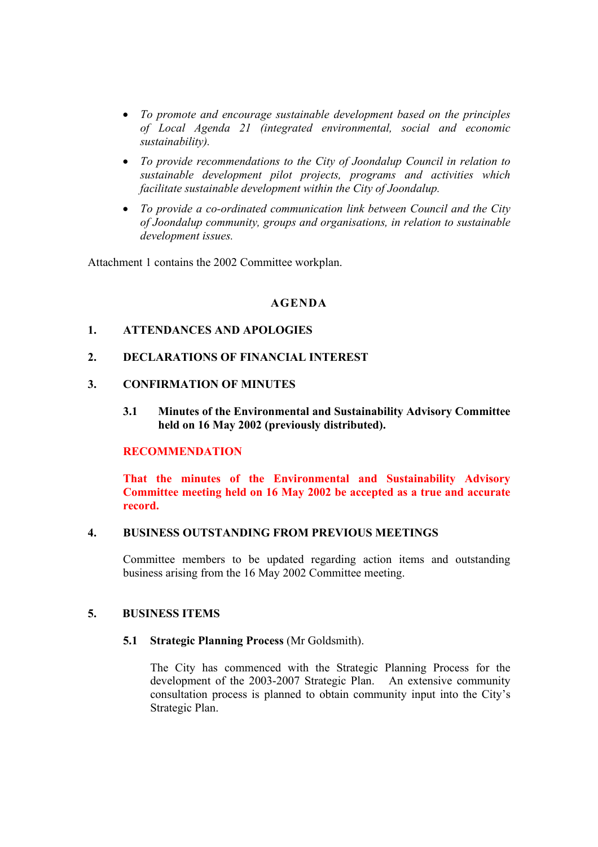- *To promote and encourage sustainable development based on the principles of Local Agenda 21 (integrated environmental, social and economic sustainability).*
- *To provide recommendations to the City of Joondalup Council in relation to sustainable development pilot projects, programs and activities which facilitate sustainable development within the City of Joondalup.*
- *To provide a co-ordinated communication link between Council and the City of Joondalup community, groups and organisations, in relation to sustainable development issues.*

Attachment 1 contains the 2002 Committee workplan.

# **AGENDA**

# **1. ATTENDANCES AND APOLOGIES**

# **2. DECLARATIONS OF FINANCIAL INTEREST**

# **3. CONFIRMATION OF MINUTES**

**3.1 Minutes of the Environmental and Sustainability Advisory Committee held on 16 May 2002 (previously distributed).** 

# **RECOMMENDATION**

**That the minutes of the Environmental and Sustainability Advisory Committee meeting held on 16 May 2002 be accepted as a true and accurate record.** 

### **4. BUSINESS OUTSTANDING FROM PREVIOUS MEETINGS**

Committee members to be updated regarding action items and outstanding business arising from the 16 May 2002 Committee meeting.

## **5. BUSINESS ITEMS**

## **5.1 Strategic Planning Process** (Mr Goldsmith).

The City has commenced with the Strategic Planning Process for the development of the 2003-2007 Strategic Plan. An extensive community consultation process is planned to obtain community input into the City's Strategic Plan.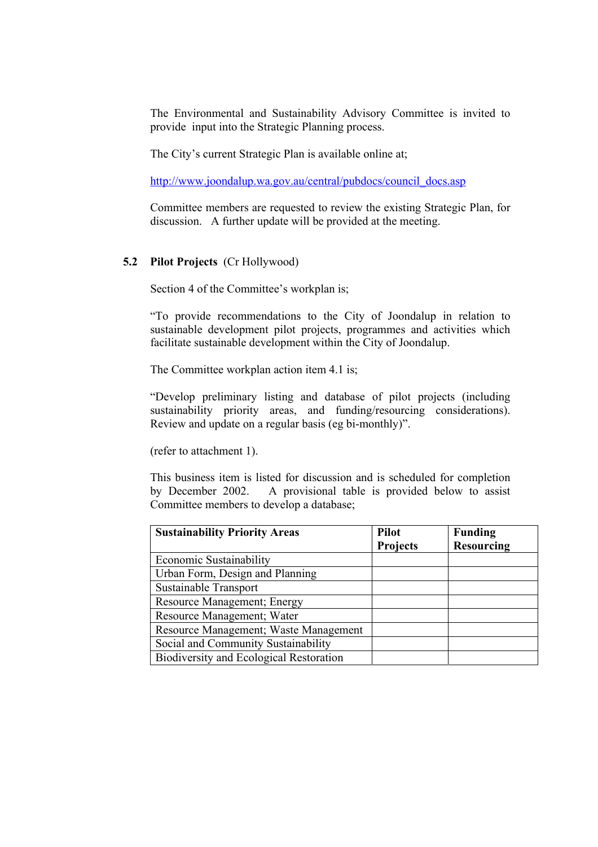The Environmental and Sustainability Advisory Committee is invited to provide input into the Strategic Planning process.

The City's current Strategic Plan is available online at;

http://www.joondalup.wa.gov.au/central/pubdocs/council\_docs.asp

Committee members are requested to review the existing Strategic Plan, for discussion. A further update will be provided at the meeting.

# **5.2 Pilot Projects** (Cr Hollywood)

Section 4 of the Committee's workplan is;

"To provide recommendations to the City of Joondalup in relation to sustainable development pilot projects, programmes and activities which facilitate sustainable development within the City of Joondalup.

The Committee workplan action item 4.1 is;

"Develop preliminary listing and database of pilot projects (including sustainability priority areas, and funding/resourcing considerations). Review and update on a regular basis (eg bi-monthly)".

(refer to attachment 1).

This business item is listed for discussion and is scheduled for completion by December 2002. A provisional table is provided below to assist Committee members to develop a database;

| <b>Sustainability Priority Areas</b>    | <b>Pilot</b>    | <b>Funding</b>    |
|-----------------------------------------|-----------------|-------------------|
|                                         | <b>Projects</b> | <b>Resourcing</b> |
| Economic Sustainability                 |                 |                   |
| Urban Form, Design and Planning         |                 |                   |
| Sustainable Transport                   |                 |                   |
| Resource Management; Energy             |                 |                   |
| Resource Management; Water              |                 |                   |
| Resource Management; Waste Management   |                 |                   |
| Social and Community Sustainability     |                 |                   |
| Biodiversity and Ecological Restoration |                 |                   |